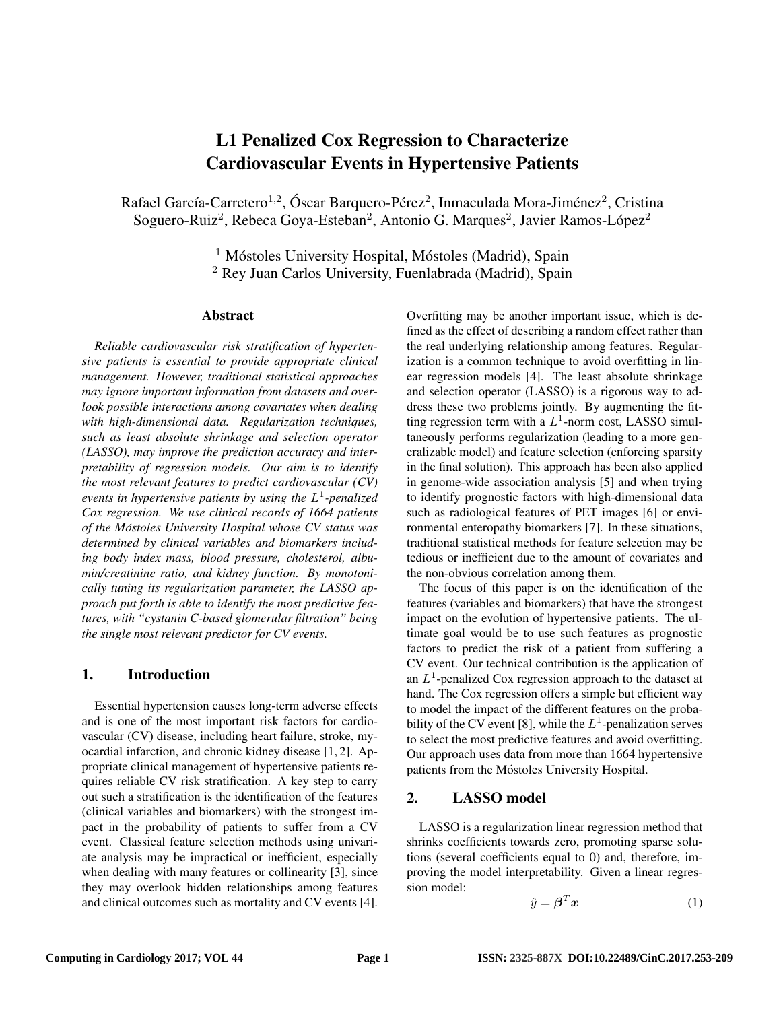# L1 Penalized Cox Regression to Characterize Cardiovascular Events in Hypertensive Patients

Rafael García-Carretero<sup>1,2</sup>, Óscar Barquero-Pérez<sup>2</sup>, Inmaculada Mora-Jiménez<sup>2</sup>, Cristina Soguero-Ruiz<sup>2</sup>, Rebeca Goya-Esteban<sup>2</sup>, Antonio G. Marques<sup>2</sup>, Javier Ramos-López<sup>2</sup>

> $1$  Móstoles University Hospital, Móstoles (Madrid), Spain <sup>2</sup> Rey Juan Carlos University, Fuenlabrada (Madrid), Spain

#### Abstract

*Reliable cardiovascular risk stratification of hypertensive patients is essential to provide appropriate clinical management. However, traditional statistical approaches may ignore important information from datasets and overlook possible interactions among covariates when dealing with high-dimensional data. Regularization techniques, such as least absolute shrinkage and selection operator (LASSO), may improve the prediction accuracy and interpretability of regression models. Our aim is to identify the most relevant features to predict cardiovascular (CV) events in hypertensive patients by using the* L 1 *-penalized Cox regression. We use clinical records of 1664 patients of the Mostoles University Hospital whose CV status was ´ determined by clinical variables and biomarkers including body index mass, blood pressure, cholesterol, albumin/creatinine ratio, and kidney function. By monotonically tuning its regularization parameter, the LASSO approach put forth is able to identify the most predictive features, with "cystanin C-based glomerular filtration" being the single most relevant predictor for CV events.*

## 1. Introduction

Essential hypertension causes long-term adverse effects and is one of the most important risk factors for cardiovascular (CV) disease, including heart failure, stroke, myocardial infarction, and chronic kidney disease [1, 2]. Appropriate clinical management of hypertensive patients requires reliable CV risk stratification. A key step to carry out such a stratification is the identification of the features (clinical variables and biomarkers) with the strongest impact in the probability of patients to suffer from a CV event. Classical feature selection methods using univariate analysis may be impractical or inefficient, especially when dealing with many features or collinearity [3], since they may overlook hidden relationships among features and clinical outcomes such as mortality and CV events [4]. Overfitting may be another important issue, which is defined as the effect of describing a random effect rather than the real underlying relationship among features. Regularization is a common technique to avoid overfitting in linear regression models [4]. The least absolute shrinkage and selection operator (LASSO) is a rigorous way to address these two problems jointly. By augmenting the fitting regression term with a  $L^1$ -norm cost, LASSO simultaneously performs regularization (leading to a more generalizable model) and feature selection (enforcing sparsity in the final solution). This approach has been also applied in genome-wide association analysis [5] and when trying to identify prognostic factors with high-dimensional data such as radiological features of PET images [6] or environmental enteropathy biomarkers [7]. In these situations, traditional statistical methods for feature selection may be tedious or inefficient due to the amount of covariates and the non-obvious correlation among them.

The focus of this paper is on the identification of the features (variables and biomarkers) that have the strongest impact on the evolution of hypertensive patients. The ultimate goal would be to use such features as prognostic factors to predict the risk of a patient from suffering a CV event. Our technical contribution is the application of an  $L^1$ -penalized Cox regression approach to the dataset at hand. The Cox regression offers a simple but efficient way to model the impact of the different features on the probability of the CV event [8], while the  $L^1$ -penalization serves to select the most predictive features and avoid overfitting. Our approach uses data from more than 1664 hypertensive patients from the Móstoles University Hospital.

## 2. LASSO model

LASSO is a regularization linear regression method that shrinks coefficients towards zero, promoting sparse solutions (several coefficients equal to 0) and, therefore, improving the model interpretability. Given a linear regression model:

$$
\hat{y} = \boldsymbol{\beta}^T \boldsymbol{x} \tag{1}
$$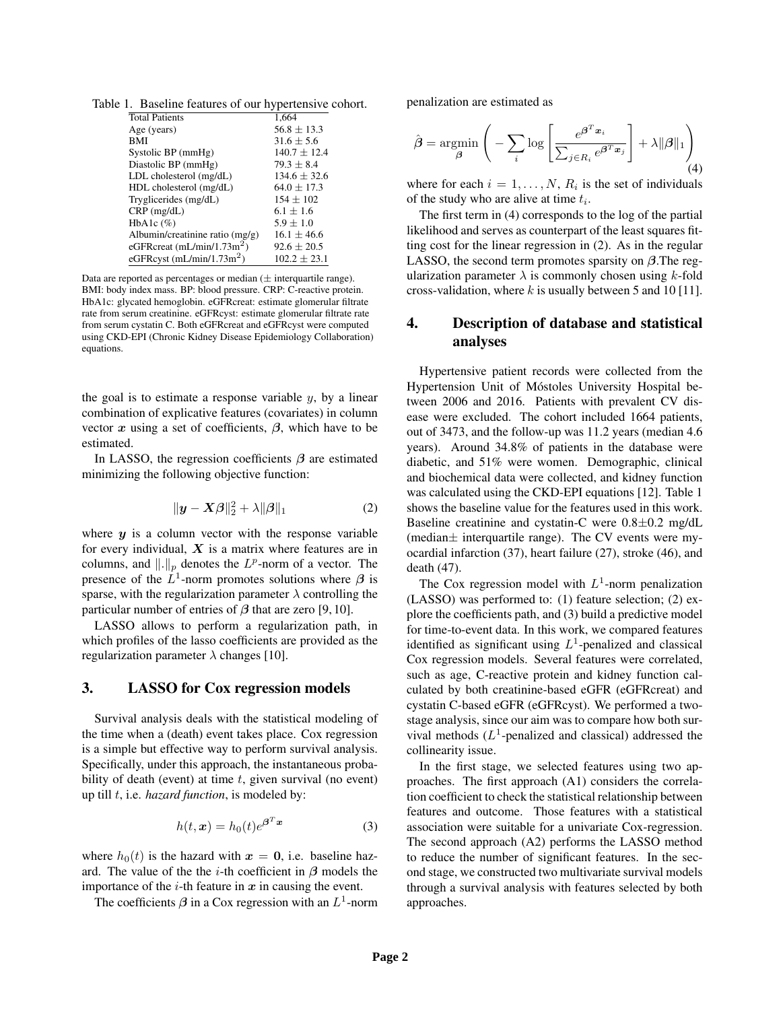|  |  |  |  |  | Table 1. Baseline features of our hypertensive cohort. |
|--|--|--|--|--|--------------------------------------------------------|
|--|--|--|--|--|--------------------------------------------------------|

| <b>Total Patients</b>             | 1,664            |
|-----------------------------------|------------------|
| Age (years)                       | $56.8 \pm 13.3$  |
| BMI                               | $31.6 \pm 5.6$   |
| Systolic BP (mmHg)                | $140.7 \pm 12.4$ |
| Diastolic BP (mmHg)               | $79.3 + 8.4$     |
| LDL cholesterol (mg/dL)           | $134.6 \pm 32.6$ |
| HDL cholesterol (mg/dL)           | $64.0 + 17.3$    |
| Tryglicerides (mg/dL)             | $154 \pm 102$    |
| $CRP$ (mg/dL)                     | $6.1 + 1.6$      |
| HbA1c $(\%)$                      | $5.9 + 1.0$      |
| Albumin/creatinine ratio $(mg/g)$ | $16.1 + 46.6$    |
| eGFRcreat $(mL/min/1.73m2)$       | $92.6 \pm 20.5$  |
| eGFRcyst $(mL/min/1.73m2)$        | $102.2 \pm 23.1$ |

Data are reported as percentages or median  $(\pm$  interquartile range). BMI: body index mass. BP: blood pressure. CRP: C-reactive protein. HbA1c: glycated hemoglobin. eGFRcreat: estimate glomerular filtrate rate from serum creatinine. eGFRcyst: estimate glomerular filtrate rate from serum cystatin C. Both eGFRcreat and eGFRcyst were computed using CKD-EPI (Chronic Kidney Disease Epidemiology Collaboration) equations.

the goal is to estimate a response variable  $y$ , by a linear combination of explicative features (covariates) in column vector  $x$  using a set of coefficients,  $\beta$ , which have to be estimated.

In LASSO, the regression coefficients  $\beta$  are estimated minimizing the following objective function:

$$
\|\mathbf{y} - \mathbf{X}\boldsymbol{\beta}\|_2^2 + \lambda \|\boldsymbol{\beta}\|_1 \tag{2}
$$

where  $y$  is a column vector with the response variable for every individual,  $X$  is a matrix where features are in columns, and  $\|.\|_p$  denotes the  $L^p$ -norm of a vector. The presence of the  $\tilde{L}^1$ -norm promotes solutions where  $\beta$  is sparse, with the regularization parameter  $\lambda$  controlling the particular number of entries of  $\beta$  that are zero [9, 10].

LASSO allows to perform a regularization path, in which profiles of the lasso coefficients are provided as the regularization parameter  $\lambda$  changes [10].

## 3. LASSO for Cox regression models

Survival analysis deals with the statistical modeling of the time when a (death) event takes place. Cox regression is a simple but effective way to perform survival analysis. Specifically, under this approach, the instantaneous probability of death (event) at time  $t$ , given survival (no event) up till t, i.e. *hazard function*, is modeled by:

$$
h(t, \mathbf{x}) = h_0(t)e^{\boldsymbol{\beta}^T \mathbf{x}} \tag{3}
$$

where  $h_0(t)$  is the hazard with  $x = 0$ , i.e. baseline hazard. The value of the the *i*-th coefficient in  $\beta$  models the importance of the  $i$ -th feature in  $x$  in causing the event.

The coefficients  $\beta$  in a Cox regression with an  $L^1$ -norm

penalization are estimated as

$$
\hat{\boldsymbol{\beta}} = \operatorname*{argmin}_{\boldsymbol{\beta}} \left( -\sum_{i} \log \left[ \frac{e^{\boldsymbol{\beta}^{T} \boldsymbol{x}_{i}}}{\sum_{j \in R_{i}} e^{\boldsymbol{\beta}^{T} \boldsymbol{x}_{j}}} \right] + \lambda ||\boldsymbol{\beta}||_{1} \right)_{(4)}
$$

where for each  $i = 1, \ldots, N$ ,  $R_i$  is the set of individuals of the study who are alive at time  $t_i$ .

The first term in (4) corresponds to the log of the partial likelihood and serves as counterpart of the least squares fitting cost for the linear regression in (2). As in the regular LASSO, the second term promotes sparsity on  $\beta$ . The regularization parameter  $\lambda$  is commonly chosen using k-fold cross-validation, where  $k$  is usually between 5 and 10 [11].

# 4. Description of database and statistical analyses

Hypertensive patient records were collected from the Hypertension Unit of Móstoles University Hospital between 2006 and 2016. Patients with prevalent CV disease were excluded. The cohort included 1664 patients, out of 3473, and the follow-up was 11.2 years (median 4.6 years). Around 34.8% of patients in the database were diabetic, and 51% were women. Demographic, clinical and biochemical data were collected, and kidney function was calculated using the CKD-EPI equations [12]. Table 1 shows the baseline value for the features used in this work. Baseline creatinine and cystatin-C were 0.8±0.2 mg/dL (median $\pm$  interquartile range). The CV events were myocardial infarction (37), heart failure (27), stroke (46), and death (47).

The Cox regression model with  $L^1$ -norm penalization (LASSO) was performed to: (1) feature selection; (2) explore the coefficients path, and (3) build a predictive model for time-to-event data. In this work, we compared features identified as significant using  $L^1$ -penalized and classical Cox regression models. Several features were correlated, such as age, C-reactive protein and kidney function calculated by both creatinine-based eGFR (eGFRcreat) and cystatin C-based eGFR (eGFRcyst). We performed a twostage analysis, since our aim was to compare how both survival methods  $(L^1$ -penalized and classical) addressed the collinearity issue.

In the first stage, we selected features using two approaches. The first approach (A1) considers the correlation coefficient to check the statistical relationship between features and outcome. Those features with a statistical association were suitable for a univariate Cox-regression. The second approach (A2) performs the LASSO method to reduce the number of significant features. In the second stage, we constructed two multivariate survival models through a survival analysis with features selected by both approaches.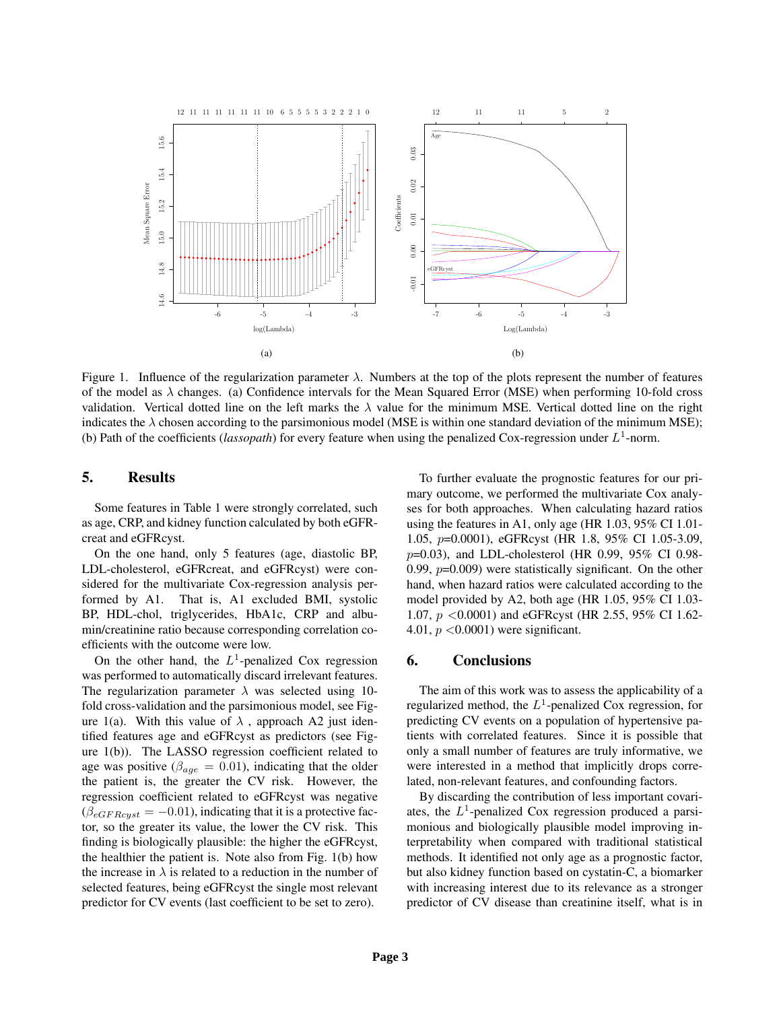

Figure 1. Influence of the regularization parameter  $\lambda$ . Numbers at the top of the plots represent the number of features of the model as  $\lambda$  changes. (a) Confidence intervals for the Mean Squared Error (MSE) when performing 10-fold cross validation. Vertical dotted line on the left marks the  $\lambda$  value for the minimum MSE. Vertical dotted line on the right indicates the  $\lambda$  chosen according to the parsimonious model (MSE is within one standard deviation of the minimum MSE); (b) Path of the coefficients (*lassopath*) for every feature when using the penalized Cox-regression under  $L^1$ -norm.

# 5. Results

Some features in Table 1 were strongly correlated, such as age, CRP, and kidney function calculated by both eGFRcreat and eGFRcyst.

On the one hand, only 5 features (age, diastolic BP, LDL-cholesterol, eGFRcreat, and eGFRcyst) were considered for the multivariate Cox-regression analysis performed by A1. That is, A1 excluded BMI, systolic BP, HDL-chol, triglycerides, HbA1c, CRP and albumin/creatinine ratio because corresponding correlation coefficients with the outcome were low.

On the other hand, the  $L^1$ -penalized Cox regression was performed to automatically discard irrelevant features. The regularization parameter  $\lambda$  was selected using 10fold cross-validation and the parsimonious model, see Figure 1(a). With this value of  $\lambda$ , approach A2 just identified features age and eGFRcyst as predictors (see Figure 1(b)). The LASSO regression coefficient related to age was positive ( $\beta_{age} = 0.01$ ), indicating that the older the patient is, the greater the CV risk. However, the regression coefficient related to eGFRcyst was negative  $(\beta_{eGFRcyst} = -0.01)$ , indicating that it is a protective factor, so the greater its value, the lower the CV risk. This finding is biologically plausible: the higher the eGFRcyst, the healthier the patient is. Note also from Fig. 1(b) how the increase in  $\lambda$  is related to a reduction in the number of selected features, being eGFRcyst the single most relevant predictor for CV events (last coefficient to be set to zero).

To further evaluate the prognostic features for our primary outcome, we performed the multivariate Cox analyses for both approaches. When calculating hazard ratios using the features in A1, only age (HR 1.03, 95% CI 1.01- 1.05, p=0.0001), eGFRcyst (HR 1.8, 95% CI 1.05-3.09, p=0.03), and LDL-cholesterol (HR 0.99, 95% CI 0.98- 0.99,  $p=0.009$ ) were statistically significant. On the other hand, when hazard ratios were calculated according to the model provided by A2, both age (HR 1.05, 95% CI 1.03- 1.07, p <0.0001) and eGFRcyst (HR 2.55, 95% CI 1.62- 4.01,  $p < 0.0001$ ) were significant.

## 6. Conclusions

The aim of this work was to assess the applicability of a regularized method, the  $L^1$ -penalized Cox regression, for predicting CV events on a population of hypertensive patients with correlated features. Since it is possible that only a small number of features are truly informative, we were interested in a method that implicitly drops correlated, non-relevant features, and confounding factors.

By discarding the contribution of less important covariates, the  $L^1$ -penalized Cox regression produced a parsimonious and biologically plausible model improving interpretability when compared with traditional statistical methods. It identified not only age as a prognostic factor, but also kidney function based on cystatin-C, a biomarker with increasing interest due to its relevance as a stronger predictor of CV disease than creatinine itself, what is in